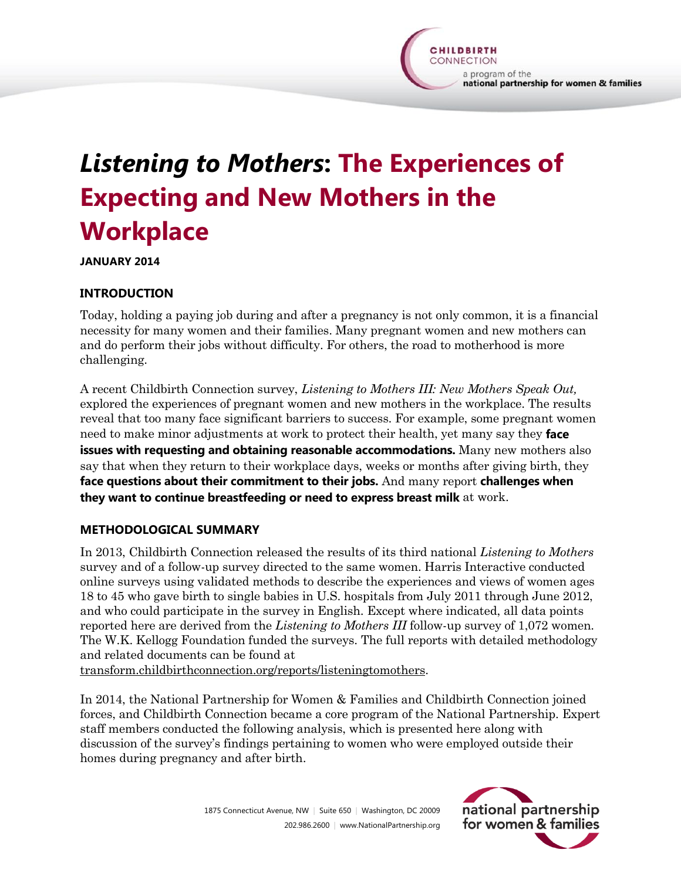# *Listening to Mothers***: The Experiences of Expecting and New Mothers in the Workplace**

**JANUARY 2014**

## **INTRODUCTION**

Today, holding a paying job during and after a pregnancy is not only common, it is a financial necessity for many women and their families. Many pregnant women and new mothers can and do perform their jobs without difficulty. For others, the road to motherhood is more challenging.

A recent Childbirth Connection survey, *Listening to Mothers III: New Mothers Speak Out,*  explored the experiences of pregnant women and new mothers in the workplace. The results reveal that too many face significant barriers to success. For example, some pregnant women need to make minor adjustments at work to protect their health, yet many say they **face issues with requesting and obtaining reasonable accommodations.** Many new mothers also say that when they return to their workplace days, weeks or months after giving birth, they **face questions about their commitment to their jobs.** And many report **challenges when they want to continue breastfeeding or need to express breast milk** at work.

#### **METHODOLOGICAL SUMMARY**

In 2013, Childbirth Connection released the results of its third national *Listening to Mothers* survey and of a follow-up survey directed to the same women. Harris Interactive conducted online surveys using validated methods to describe the experiences and views of women ages 18 to 45 who gave birth to single babies in U.S. hospitals from July 2011 through June 2012, and who could participate in the survey in English. Except where indicated, all data points reported here are derived from the *Listening to Mothers III* follow-up survey of 1,072 women. The W.K. Kellogg Foundation funded the surveys. The full reports with detailed methodology and related documents can be found at

[transform.childbirthconnection.org/reports/listeningtomothers.](http://transform.childbirthconnection.org/reports/listeningtomothers/)

In 2014, the National Partnership for Women & Families and Childbirth Connection joined forces, and Childbirth Connection became a core program of the National Partnership. Expert staff members conducted the following analysis, which is presented here along with discussion of the survey's findings pertaining to women who were employed outside their homes during pregnancy and after birth.

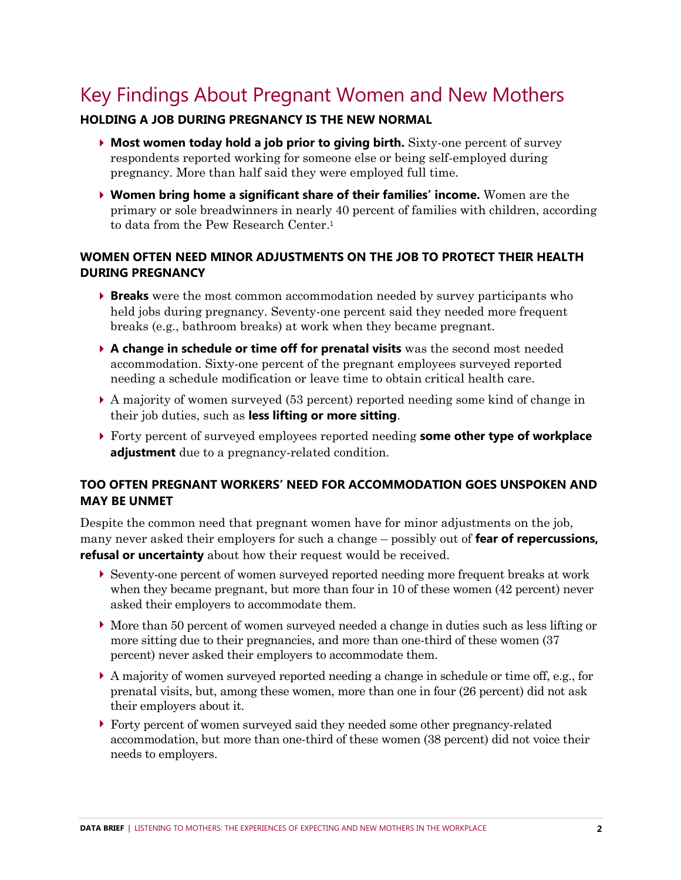# Key Findings About Pregnant Women and New Mothers

#### **HOLDING A JOB DURING PREGNANCY IS THE NEW NORMAL**

- **Most women today hold a job prior to giving birth.** Sixty-one percent of survey respondents reported working for someone else or being self-employed during pregnancy. More than half said they were employed full time.
- **Women bring home a significant share of their families' income.** Women are the primary or sole breadwinners in nearly 40 percent of families with children, according to data from the Pew Research Center.<sup>1</sup>

### **WOMEN OFTEN NEED MINOR ADJUSTMENTS ON THE JOB TO PROTECT THEIR HEALTH DURING PREGNANCY**

- **Breaks** were the most common accommodation needed by survey participants who held jobs during pregnancy. Seventy-one percent said they needed more frequent breaks (e.g., bathroom breaks) at work when they became pregnant.
- **A change in schedule or time off for prenatal visits** was the second most needed accommodation. Sixty-one percent of the pregnant employees surveyed reported needing a schedule modification or leave time to obtain critical health care.
- A majority of women surveyed (53 percent) reported needing some kind of change in their job duties, such as **less lifting or more sitting**.
- Forty percent of surveyed employees reported needing **some other type of workplace adjustment** due to a pregnancy-related condition.

#### **TOO OFTEN PREGNANT WORKERS' NEED FOR ACCOMMODATION GOES UNSPOKEN AND MAY BE UNMET**

Despite the common need that pregnant women have for minor adjustments on the job, many never asked their employers for such a change – possibly out of **fear of repercussions, refusal or uncertainty** about how their request would be received.

- Seventy-one percent of women surveyed reported needing more frequent breaks at work when they became pregnant, but more than four in 10 of these women (42 percent) never asked their employers to accommodate them.
- More than 50 percent of women surveyed needed a change in duties such as less lifting or more sitting due to their pregnancies, and more than one-third of these women (37 percent) never asked their employers to accommodate them.
- A majority of women surveyed reported needing a change in schedule or time off, e.g., for prenatal visits, but, among these women, more than one in four (26 percent) did not ask their employers about it.
- Forty percent of women surveyed said they needed some other pregnancy-related accommodation, but more than one-third of these women (38 percent) did not voice their needs to employers.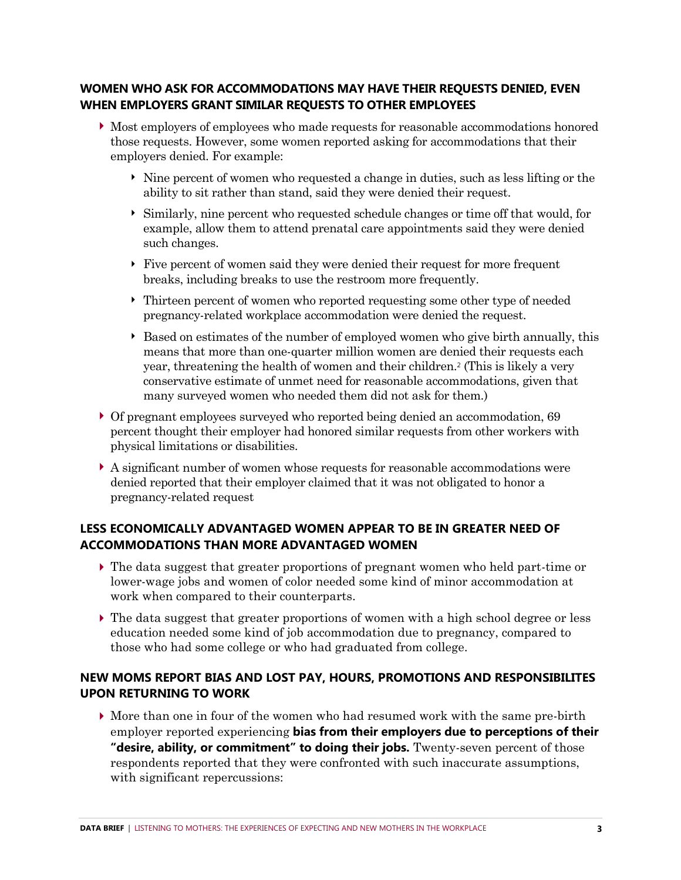### **WOMEN WHO ASK FOR ACCOMMODATIONS MAY HAVE THEIR REQUESTS DENIED, EVEN WHEN EMPLOYERS GRANT SIMILAR REQUESTS TO OTHER EMPLOYEES**

- Most employers of employees who made requests for reasonable accommodations honored those requests. However, some women reported asking for accommodations that their employers denied. For example:
	- Nine percent of women who requested a change in duties, such as less lifting or the ability to sit rather than stand, said they were denied their request.
	- Similarly, nine percent who requested schedule changes or time off that would, for example, allow them to attend prenatal care appointments said they were denied such changes.
	- Five percent of women said they were denied their request for more frequent breaks, including breaks to use the restroom more frequently.
	- Thirteen percent of women who reported requesting some other type of needed pregnancy-related workplace accommodation were denied the request.
	- $\triangleright$  Based on estimates of the number of employed women who give birth annually, this means that more than one-quarter million women are denied their requests each year, threatening the health of women and their children.<sup>2</sup> (This is likely a very conservative estimate of unmet need for reasonable accommodations, given that many surveyed women who needed them did not ask for them.)
- Of pregnant employees surveyed who reported being denied an accommodation, 69 percent thought their employer had honored similar requests from other workers with physical limitations or disabilities.
- A significant number of women whose requests for reasonable accommodations were denied reported that their employer claimed that it was not obligated to honor a pregnancy-related request

#### **LESS ECONOMICALLY ADVANTAGED WOMEN APPEAR TO BE IN GREATER NEED OF ACCOMMODATIONS THAN MORE ADVANTAGED WOMEN**

- The data suggest that greater proportions of pregnant women who held part-time or lower-wage jobs and women of color needed some kind of minor accommodation at work when compared to their counterparts.
- The data suggest that greater proportions of women with a high school degree or less education needed some kind of job accommodation due to pregnancy, compared to those who had some college or who had graduated from college.

### **NEW MOMS REPORT BIAS AND LOST PAY, HOURS, PROMOTIONS AND RESPONSIBILITES UPON RETURNING TO WORK**

 More than one in four of the women who had resumed work with the same pre-birth employer reported experiencing **bias from their employers due to perceptions of their "desire, ability, or commitment" to doing their jobs.** Twenty-seven percent of those respondents reported that they were confronted with such inaccurate assumptions, with significant repercussions: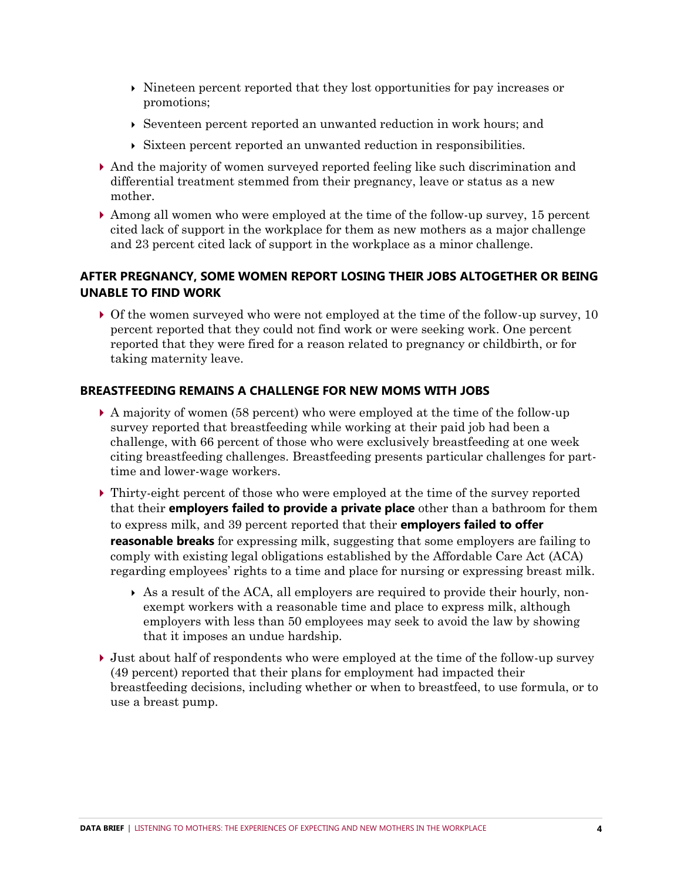- $\triangleright$  Nineteen percent reported that they lost opportunities for pay increases or promotions;
- $\rightarrow$  Seventeen percent reported an unwanted reduction in work hours; and
- Sixteen percent reported an unwanted reduction in responsibilities.
- And the majority of women surveyed reported feeling like such discrimination and differential treatment stemmed from their pregnancy, leave or status as a new mother.
- $\blacktriangleright$  Among all women who were employed at the time of the follow-up survey, 15 percent cited lack of support in the workplace for them as new mothers as a major challenge and 23 percent cited lack of support in the workplace as a minor challenge.

### **AFTER PREGNANCY, SOME WOMEN REPORT LOSING THEIR JOBS ALTOGETHER OR BEING UNABLE TO FIND WORK**

 Of the women surveyed who were not employed at the time of the follow-up survey, 10 percent reported that they could not find work or were seeking work. One percent reported that they were fired for a reason related to pregnancy or childbirth, or for taking maternity leave.

#### **BREASTFEEDING REMAINS A CHALLENGE FOR NEW MOMS WITH JOBS**

- A majority of women (58 percent) who were employed at the time of the follow-up survey reported that breastfeeding while working at their paid job had been a challenge, with 66 percent of those who were exclusively breastfeeding at one week citing breastfeeding challenges. Breastfeeding presents particular challenges for parttime and lower-wage workers.
- Thirty-eight percent of those who were employed at the time of the survey reported that their **employers failed to provide a private place** other than a bathroom for them to express milk, and 39 percent reported that their **employers failed to offer reasonable breaks** for expressing milk, suggesting that some employers are failing to comply with existing legal obligations established by the Affordable Care Act (ACA) regarding employees' rights to a time and place for nursing or expressing breast milk.
	- As a result of the ACA, all employers are required to provide their hourly, nonexempt workers with a reasonable time and place to express milk, although employers with less than 50 employees may seek to avoid the law by showing that it imposes an undue hardship.
- Just about half of respondents who were employed at the time of the follow-up survey (49 percent) reported that their plans for employment had impacted their breastfeeding decisions, including whether or when to breastfeed, to use formula, or to use a breast pump.